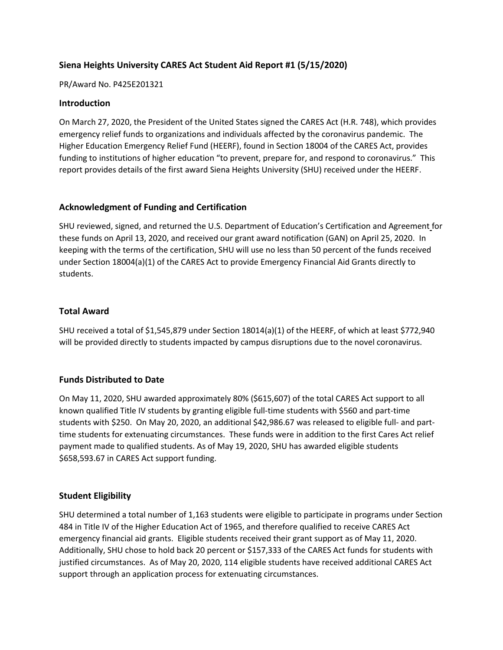# **Siena Heights University CARES Act Student Aid Report #1 (5/15/2020)**

#### PR/Award No. P425E201321

### **Introduction**

On March 27, 2020, the President of the United States signed the CARES Act (H.R. 748), which provides emergency relief funds to organizations and individuals affected by the coronavirus pandemic. The Higher Education Emergency Relief Fund (HEERF), found in Section 18004 of the CARES Act, provides funding to institutions of higher education "to prevent, prepare for, and respond to coronavirus." This report provides details of the first award Siena Heights University (SHU) received under the HEERF.

### **Acknowledgment of Funding and Certification**

SHU reviewed, signed, and returned the U.S. Department of Education's Certification and Agreement for these funds on April 13, 2020, and received our grant award notification (GAN) on April 25, 2020. In keeping with the terms of the certification, SHU will use no less than 50 percent of the funds received under Section 18004(a)(1) of the CARES Act to provide Emergency Financial Aid Grants directly to students.

### **Total Award**

SHU received a total of \$1,545,879 under Section 18014(a)(1) of the HEERF, of which at least \$772,940 will be provided directly to students impacted by campus disruptions due to the novel coronavirus.

# **Funds Distributed to Date**

On May 11, 2020, SHU awarded approximately 80% (\$615,607) of the total CARES Act support to all known qualified Title IV students by granting eligible full-time students with \$560 and part-time students with \$250. On May 20, 2020, an additional \$42,986.67 was released to eligible full- and parttime students for extenuating circumstances. These funds were in addition to the first Cares Act relief payment made to qualified students. As of May 19, 2020, SHU has awarded eligible students \$658,593.67 in CARES Act support funding.

#### **Student Eligibility**

SHU determined a total number of 1,163 students were eligible to participate in programs under Section 484 in Title IV of the Higher Education Act of 1965, and therefore qualified to receive CARES Act emergency financial aid grants. Eligible students received their grant support as of May 11, 2020. Additionally, SHU chose to hold back 20 percent or \$157,333 of the CARES Act funds for students with justified circumstances. As of May 20, 2020, 114 eligible students have received additional CARES Act support through an application process for extenuating circumstances.